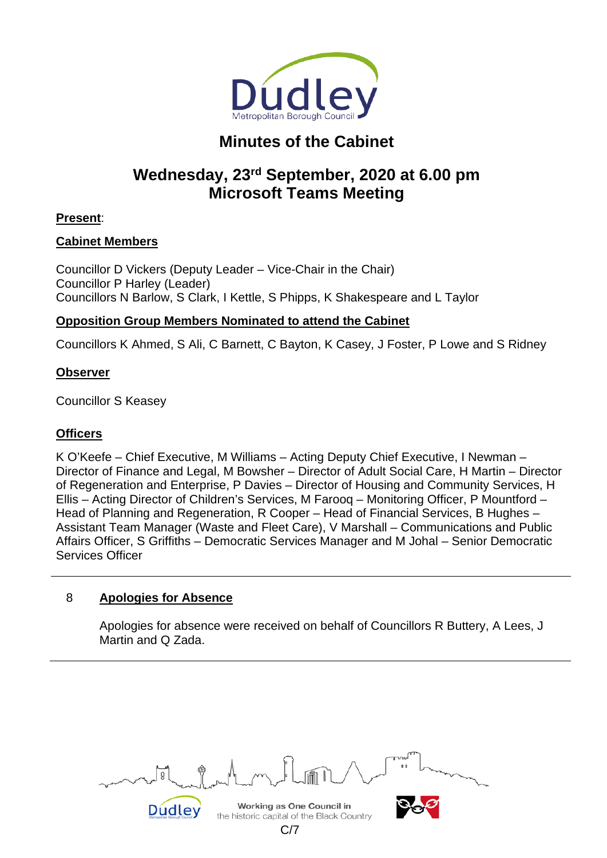

# **Minutes of the Cabinet**

# **Wednesday, 23rd September, 2020 at 6.00 pm Microsoft Teams Meeting**

# **Present**:

## **Cabinet Members**

Councillor D Vickers (Deputy Leader – Vice-Chair in the Chair) Councillor P Harley (Leader) Councillors N Barlow, S Clark, I Kettle, S Phipps, K Shakespeare and L Taylor

# **Opposition Group Members Nominated to attend the Cabinet**

Councillors K Ahmed, S Ali, C Barnett, C Bayton, K Casey, J Foster, P Lowe and S Ridney

## **Observer**

Councillor S Keasey

## **Officers**

K O'Keefe – Chief Executive, M Williams – Acting Deputy Chief Executive, I Newman – Director of Finance and Legal, M Bowsher – Director of Adult Social Care, H Martin – Director of Regeneration and Enterprise, P Davies – Director of Housing and Community Services, H Ellis – Acting Director of Children's Services, M Farooq – Monitoring Officer, P Mountford – Head of Planning and Regeneration, R Cooper – Head of Financial Services, B Hughes – Assistant Team Manager (Waste and Fleet Care), V Marshall – Communications and Public Affairs Officer, S Griffiths – Democratic Services Manager and M Johal – Senior Democratic Services Officer

# 8 **Apologies for Absence**

Apologies for absence were received on behalf of Councillors R Buttery, A Lees, J Martin and Q Zada.

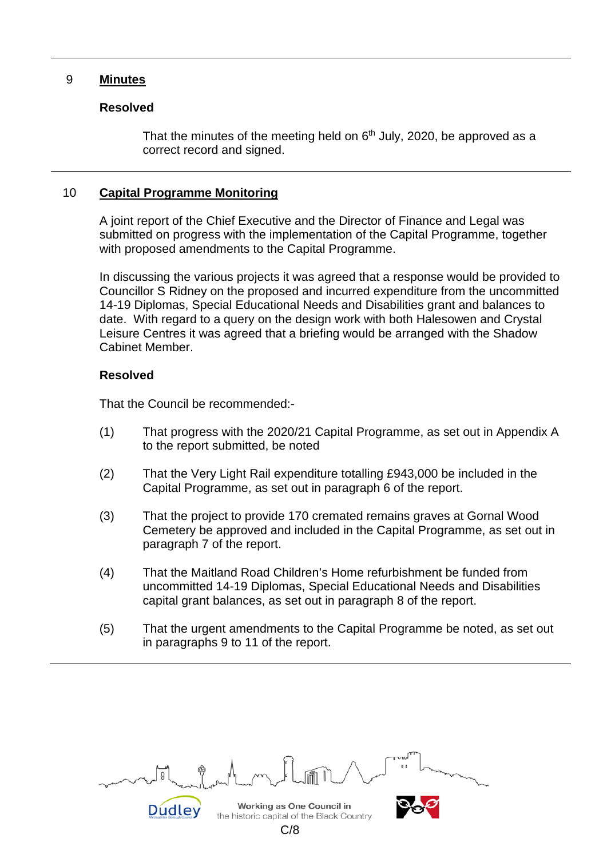#### 9 **Minutes**

#### **Resolved**

That the minutes of the meeting held on  $6<sup>th</sup>$  July, 2020, be approved as a correct record and signed.

#### 10 **Capital Programme Monitoring**

A joint report of the Chief Executive and the Director of Finance and Legal was submitted on progress with the implementation of the Capital Programme, together with proposed amendments to the Capital Programme.

In discussing the various projects it was agreed that a response would be provided to Councillor S Ridney on the proposed and incurred expenditure from the uncommitted 14-19 Diplomas, Special Educational Needs and Disabilities grant and balances to date. With regard to a query on the design work with both Halesowen and Crystal Leisure Centres it was agreed that a briefing would be arranged with the Shadow Cabinet Member.

#### **Resolved**

That the Council be recommended:-

- (1) That progress with the 2020/21 Capital Programme, as set out in Appendix A to the report submitted, be noted
- (2) That the Very Light Rail expenditure totalling £943,000 be included in the Capital Programme, as set out in paragraph 6 of the report.
- (3) That the project to provide 170 cremated remains graves at Gornal Wood Cemetery be approved and included in the Capital Programme, as set out in paragraph 7 of the report.
- (4) That the Maitland Road Children's Home refurbishment be funded from uncommitted 14-19 Diplomas, Special Educational Needs and Disabilities capital grant balances, as set out in paragraph 8 of the report.
- (5) That the urgent amendments to the Capital Programme be noted, as set out in paragraphs 9 to 11 of the report.

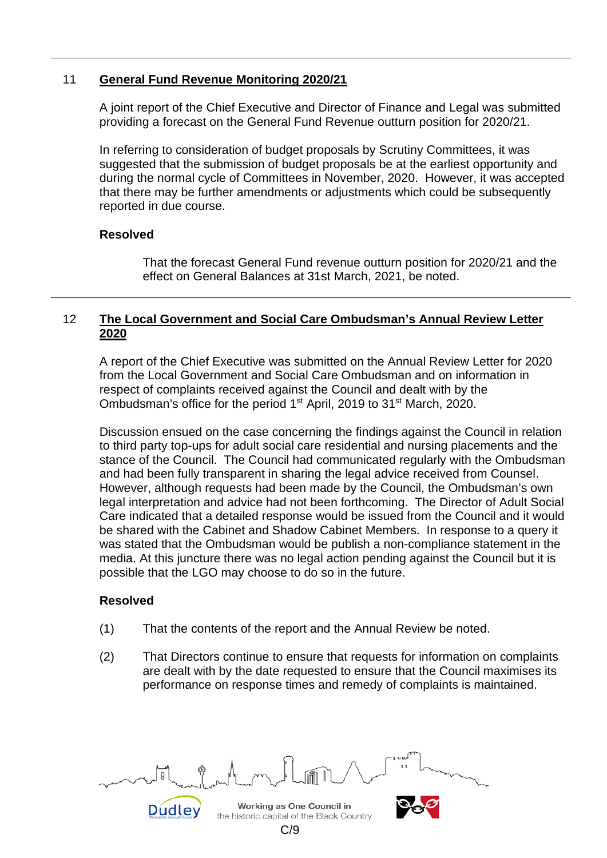### 11 **General Fund Revenue Monitoring 2020/21**

A joint report of the Chief Executive and Director of Finance and Legal was submitted providing a forecast on the General Fund Revenue outturn position for 2020/21.

In referring to consideration of budget proposals by Scrutiny Committees, it was suggested that the submission of budget proposals be at the earliest opportunity and during the normal cycle of Committees in November, 2020. However, it was accepted that there may be further amendments or adjustments which could be subsequently reported in due course.

#### **Resolved**

That the forecast General Fund revenue outturn position for 2020/21 and the effect on General Balances at 31st March, 2021, be noted.

### 12 **The Local Government and Social Care Ombudsman's Annual Review Letter 2020**

A report of the Chief Executive was submitted on the Annual Review Letter for 2020 from the Local Government and Social Care Ombudsman and on information in respect of complaints received against the Council and dealt with by the Ombudsman's office for the period 1<sup>st</sup> April, 2019 to 31<sup>st</sup> March, 2020.

Discussion ensued on the case concerning the findings against the Council in relation to third party top-ups for adult social care residential and nursing placements and the stance of the Council. The Council had communicated regularly with the Ombudsman and had been fully transparent in sharing the legal advice received from Counsel. However, although requests had been made by the Council, the Ombudsman's own legal interpretation and advice had not been forthcoming. The Director of Adult Social Care indicated that a detailed response would be issued from the Council and it would be shared with the Cabinet and Shadow Cabinet Members. In response to a query it was stated that the Ombudsman would be publish a non-compliance statement in the media. At this juncture there was no legal action pending against the Council but it is possible that the LGO may choose to do so in the future.

## **Resolved**

- (1) That the contents of the report and the Annual Review be noted.
- (2) That Directors continue to ensure that requests for information on complaints are dealt with by the date requested to ensure that the Council maximises its performance on response times and remedy of complaints is maintained.

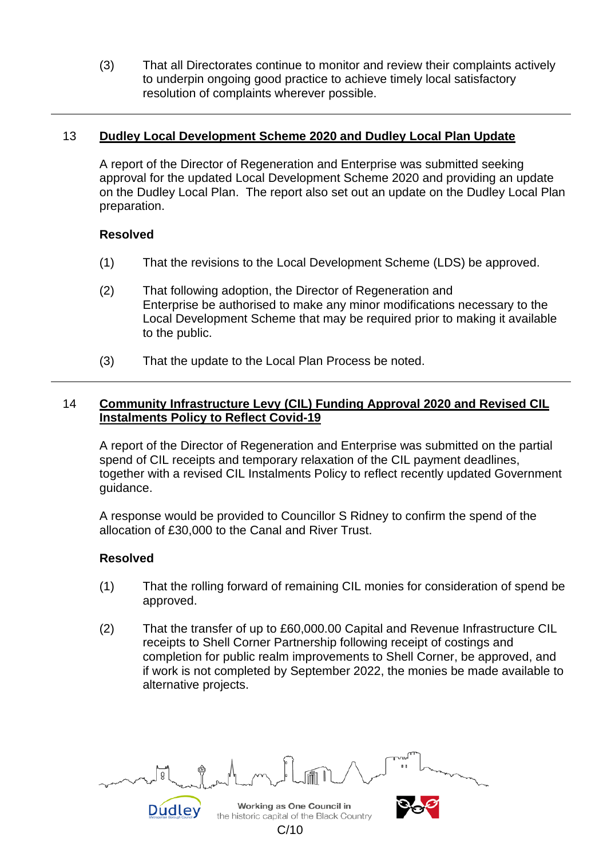(3) That all Directorates continue to monitor and review their complaints actively to underpin ongoing good practice to achieve timely local satisfactory resolution of complaints wherever possible.

### 13 **Dudley Local Development Scheme 2020 and Dudley Local Plan Update**

A report of the Director of Regeneration and Enterprise was submitted seeking approval for the updated Local Development Scheme 2020 and providing an update on the Dudley Local Plan. The report also set out an update on the Dudley Local Plan preparation.

#### **Resolved**

- (1) That the revisions to the Local Development Scheme (LDS) be approved.
- (2) That following adoption, the Director of Regeneration and Enterprise be authorised to make any minor modifications necessary to the Local Development Scheme that may be required prior to making it available to the public.
- (3) That the update to the Local Plan Process be noted.

### 14 **Community Infrastructure Levy (CIL) Funding Approval 2020 and Revised CIL Instalments Policy to Reflect Covid-19**

A report of the Director of Regeneration and Enterprise was submitted on the partial spend of CIL receipts and temporary relaxation of the CIL payment deadlines, together with a revised CIL Instalments Policy to reflect recently updated Government guidance.

A response would be provided to Councillor S Ridney to confirm the spend of the allocation of £30,000 to the Canal and River Trust.

## **Resolved**

- (1) That the rolling forward of remaining CIL monies for consideration of spend be approved.
- (2) That the transfer of up to £60,000.00 Capital and Revenue Infrastructure CIL receipts to Shell Corner Partnership following receipt of costings and completion for public realm improvements to Shell Corner, be approved, and if work is not completed by September 2022, the monies be made available to alternative projects.

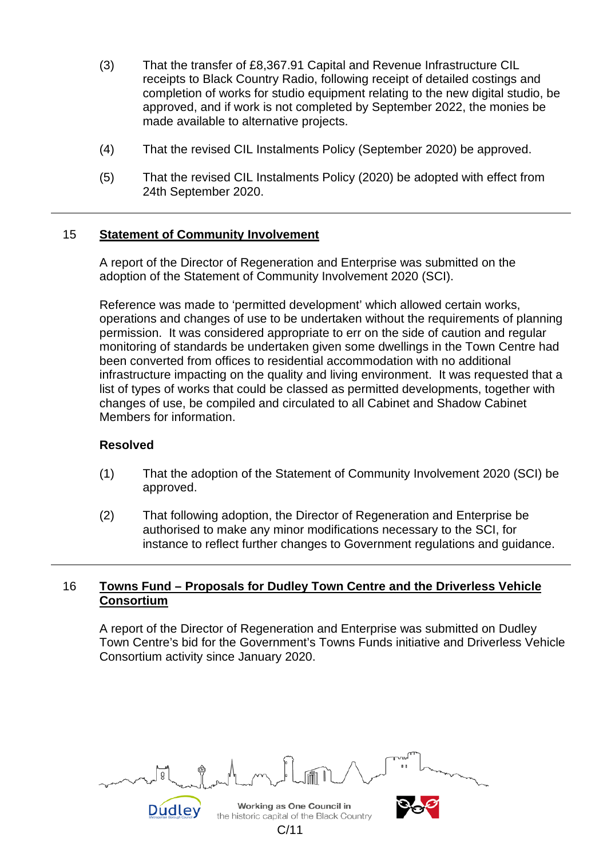- (3) That the transfer of £8,367.91 Capital and Revenue Infrastructure CIL receipts to Black Country Radio, following receipt of detailed costings and completion of works for studio equipment relating to the new digital studio, be approved, and if work is not completed by September 2022, the monies be made available to alternative projects.
- (4) That the revised CIL Instalments Policy (September 2020) be approved.
- (5) That the revised CIL Instalments Policy (2020) be adopted with effect from 24th September 2020.

#### 15 **Statement of Community Involvement**

A report of the Director of Regeneration and Enterprise was submitted on the adoption of the Statement of Community Involvement 2020 (SCI).

Reference was made to 'permitted development' which allowed certain works, operations and changes of use to be undertaken without the requirements of planning permission. It was considered appropriate to err on the side of caution and regular monitoring of standards be undertaken given some dwellings in the Town Centre had been converted from offices to residential accommodation with no additional infrastructure impacting on the quality and living environment. It was requested that a list of types of works that could be classed as permitted developments, together with changes of use, be compiled and circulated to all Cabinet and Shadow Cabinet Members for information.

#### **Resolved**

- (1) That the adoption of the Statement of Community Involvement 2020 (SCI) be approved.
- (2) That following adoption, the Director of Regeneration and Enterprise be authorised to make any minor modifications necessary to the SCI, for instance to reflect further changes to Government regulations and guidance.

#### 16 **Towns Fund – Proposals for Dudley Town Centre and the Driverless Vehicle Consortium**

A report of the Director of Regeneration and Enterprise was submitted on Dudley Town Centre's bid for the Government's Towns Funds initiative and Driverless Vehicle Consortium activity since January 2020.